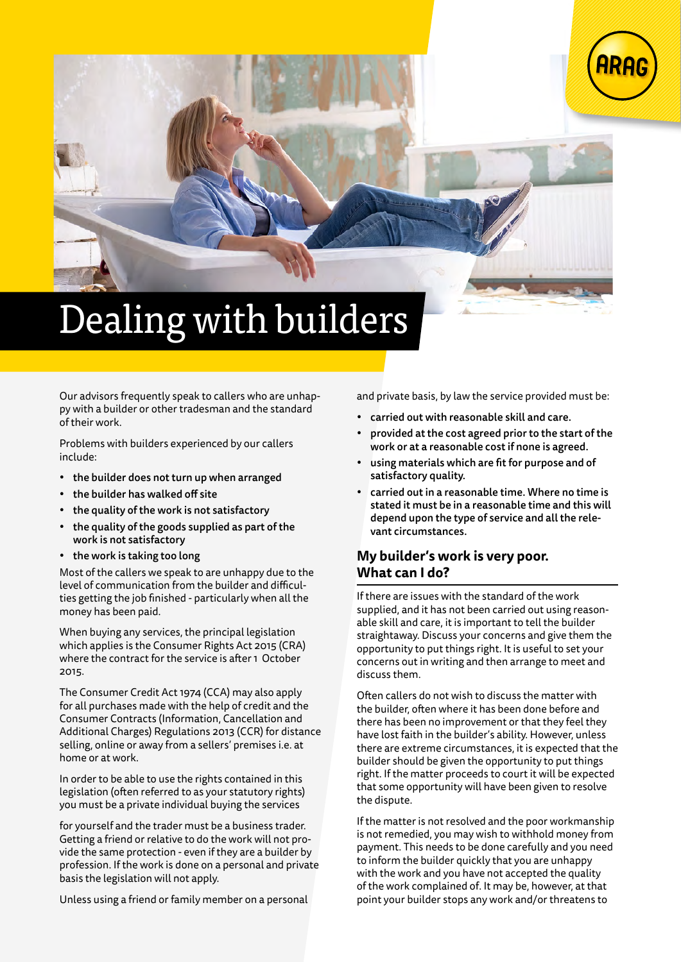

# Dealing with builders

Our advisors frequently speak to callers who are unhappy with a builder or other tradesman and the standard of their work.

Problems with builders experienced by our callers include:

- the builder does not turn up when arranged
- the builder has walked off site
- the quality of the work is not satisfactory
- the quality of the goods supplied as part of the work is not satisfactory
- the work is taking too long

Most of the callers we speak to are unhappy due to the level of communication from the builder and difficulties getting the job finished - particularly when all the money has been paid.

When buying any services, the principal legislation which applies is the Consumer Rights Act 2015 (CRA) where the contract for the service is after 1 October 2015.

The Consumer Credit Act 1974 (CCA) may also apply for all purchases made with the help of credit and the Consumer Contracts (Information, Cancellation and Additional Charges) Regulations 2013 (CCR) for distance selling, online or away from a sellers' premises i.e. at home or at work.

In order to be able to use the rights contained in this legislation (often referred to as your statutory rights) you must be a private individual buying the services

for yourself and the trader must be a business trader. Getting a friend or relative to do the work will not provide the same protection - even if they are a builder by profession. If the work is done on a personal and private basis the legislation will not apply.

Unless using a friend or family member on a personal

and private basis, by law the service provided must be:

- carried out with reasonable skill and care.
- provided at the cost agreed prior to the start of the work or at a reasonable cost if none is agreed.
- using materials which are fit for purpose and of satisfactory quality.
- carried out in a reasonable time. Where no time is stated it must be in a reasonable time and this will depend upon the type of service and all the relevant circumstances.

# **My builder's work is very poor. What can I do?**

If there are issues with the standard of the work supplied, and it has not been carried out using reasonable skill and care, it is important to tell the builder straightaway. Discuss your concerns and give them the opportunity to put things right. It is useful to set your concerns out in writing and then arrange to meet and discuss them.

Often callers do not wish to discuss the matter with the builder, often where it has been done before and there has been no improvement or that they feel they have lost faith in the builder's ability. However, unless there are extreme circumstances, it is expected that the builder should be given the opportunity to put things right. If the matter proceeds to court it will be expected that some opportunity will have been given to resolve the dispute.

If the matter is not resolved and the poor workmanship is not remedied, you may wish to withhold money from payment. This needs to be done carefully and you need to inform the builder quickly that you are unhappy with the work and you have not accepted the quality of the work complained of. It may be, however, at that point your builder stops any work and/or threatens to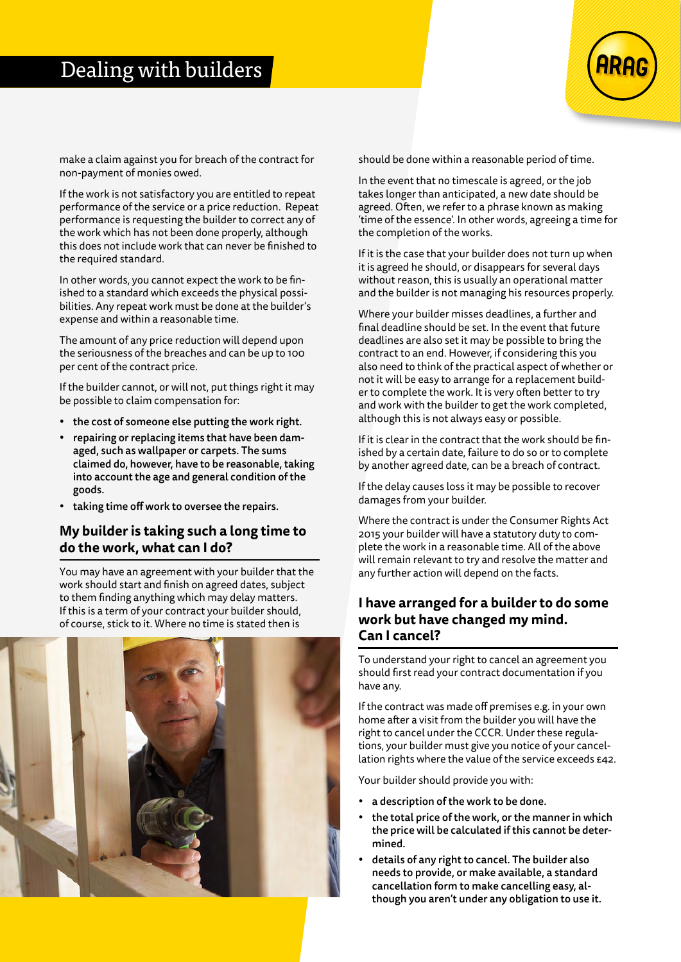# Dealing with builders



make a claim against you for breach of the contract for non-payment of monies owed.

If the work is not satisfactory you are entitled to repeat performance of the service or a price reduction. Repeat performance is requesting the builder to correct any of the work which has not been done properly, although this does not include work that can never be finished to the required standard.

In other words, you cannot expect the work to be finished to a standard which exceeds the physical possibilities. Any repeat work must be done at the builder's expense and within a reasonable time.

The amount of any price reduction will depend upon the seriousness of the breaches and can be up to 100 per cent of the contract price.

If the builder cannot, or will not, put things right it may be possible to claim compensation for:

- the cost of someone else putting the work right.
- repairing or replacing items that have been damaged, such as wallpaper or carpets. The sums claimed do, however, have to be reasonable, taking into account the age and general condition of the goods.
- taking time off work to oversee the repairs.

## **My builder is taking such a long time to do the work, what can I do?**

You may have an agreement with your builder that the work should start and finish on agreed dates, subject to them finding anything which may delay matters. If this is a term of your contract your builder should, of course, stick to it. Where no time is stated then is



should be done within a reasonable period of time.

In the event that no timescale is agreed, or the job takes longer than anticipated, a new date should be agreed. Often, we refer to a phrase known as making 'time of the essence'. In other words, agreeing a time for the completion of the works.

If it is the case that your builder does not turn up when it is agreed he should, or disappears for several days without reason, this is usually an operational matter and the builder is not managing his resources properly.

Where your builder misses deadlines, a further and final deadline should be set. In the event that future deadlines are also set it may be possible to bring the contract to an end. However, if considering this you also need to think of the practical aspect of whether or not it will be easy to arrange for a replacement builder to complete the work. It is very often better to try and work with the builder to get the work completed, although this is not always easy or possible.

If it is clear in the contract that the work should be finished by a certain date, failure to do so or to complete by another agreed date, can be a breach of contract.

If the delay causes loss it may be possible to recover damages from your builder.

Where the contract is under the Consumer Rights Act 2015 your builder will have a statutory duty to complete the work in a reasonable time. All of the above will remain relevant to try and resolve the matter and any further action will depend on the facts.

# **I have arranged for a builder to do some work but have changed my mind. Can I cancel?**

To understand your right to cancel an agreement you should first read your contract documentation if you have any.

If the contract was made off premises e.g. in your own home after a visit from the builder you will have the right to cancel under the CCCR. Under these regulations, your builder must give you notice of your cancellation rights where the value of the service exceeds £42.

Your builder should provide you with:

- a description of the work to be done.
- the total price of the work, or the manner in which the price will be calculated if this cannot be determined.
- details of any right to cancel. The builder also needs to provide, or make available, a standard cancellation form to make cancelling easy, although you aren't under any obligation to use it.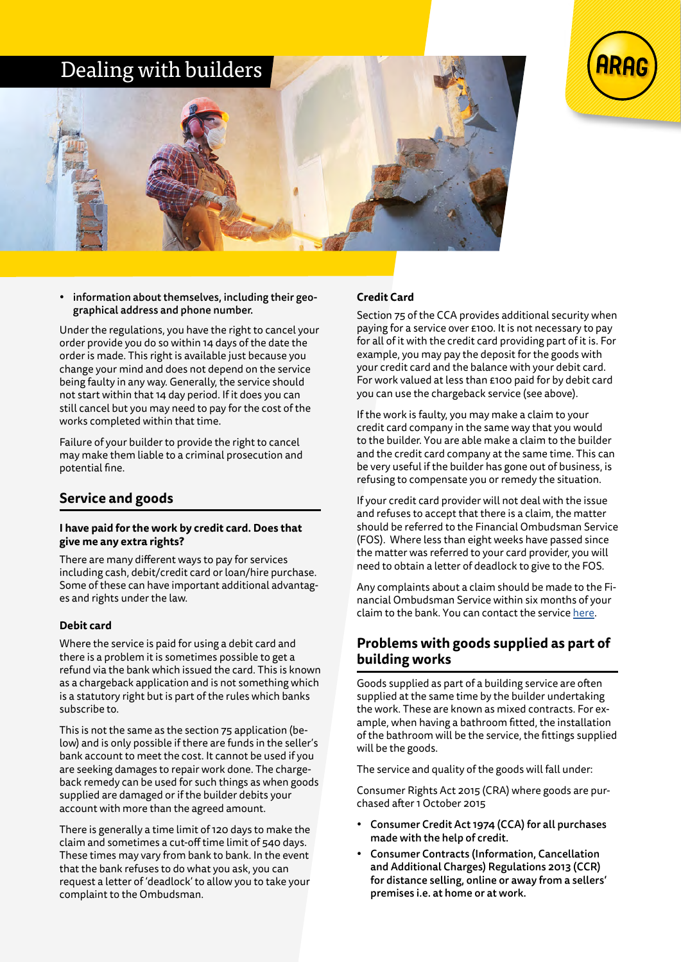# Dealing with builders





• information about themselves, including their geographical address and phone number.

Under the regulations, you have the right to cancel your order provide you do so within 14 days of the date the order is made. This right is available just because you change your mind and does not depend on the service being faulty in any way. Generally, the service should not start within that 14 day period. If it does you can still cancel but you may need to pay for the cost of the works completed within that time.

Failure of your builder to provide the right to cancel may make them liable to a criminal prosecution and potential fine.

# **Service and goods**

#### **I have paid for the work by credit card. Does that give me any extra rights?**

There are many different ways to pay for services including cash, debit/credit card or loan/hire purchase. Some of these can have important additional advantages and rights under the law.

#### **Debit card**

Where the service is paid for using a debit card and there is a problem it is sometimes possible to get a refund via the bank which issued the card. This is known as a chargeback application and is not something which is a statutory right but is part of the rules which banks subscribe to.

This is not the same as the section 75 application (below) and is only possible if there are funds in the seller's bank account to meet the cost. It cannot be used if you are seeking damages to repair work done. The chargeback remedy can be used for such things as when goods supplied are damaged or if the builder debits your account with more than the agreed amount.

There is generally a time limit of 120 days to make the claim and sometimes a cut-off time limit of 540 days. These times may vary from bank to bank. In the event that the bank refuses to do what you ask, you can request a letter of 'deadlock' to allow you to take your complaint to the Ombudsman.

#### **Credit Card**

Section 75 of the CCA provides additional security when paying for a service over £100. It is not necessary to pay for all of it with the credit card providing part of it is. For example, you may pay the deposit for the goods with your credit card and the balance with your debit card. For work valued at less than £100 paid for by debit card you can use the chargeback service (see above).

If the work is faulty, you may make a claim to your credit card company in the same way that you would to the builder. You are able make a claim to the builder and the credit card company at the same time. This can be very useful if the builder has gone out of business, is refusing to compensate you or remedy the situation.

If your credit card provider will not deal with the issue and refuses to accept that there is a claim, the matter should be referred to the Financial Ombudsman Service (FOS). Where less than eight weeks have passed since the matter was referred to your card provider, you will need to obtain a letter of deadlock to give to the FOS.

Any complaints about a claim should be made to the Financial Ombudsman Service within six months of your claim to the bank. You can contact the service [here.](https://www.financial-ombudsman.org.uk/)

# **Problems with goods supplied as part of building works**

Goods supplied as part of a building service are often supplied at the same time by the builder undertaking the work. These are known as mixed contracts. For example, when having a bathroom fitted, the installation of the bathroom will be the service, the fittings supplied will be the goods.

The service and quality of the goods will fall under:

Consumer Rights Act 2015 (CRA) where goods are purchased after 1 October 2015

- Consumer Credit Act 1974 (CCA) for all purchases made with the help of credit.
- Consumer Contracts (Information, Cancellation and Additional Charges) Regulations 2013 (CCR) for distance selling, online or away from a sellers' premises i.e. at home or at work.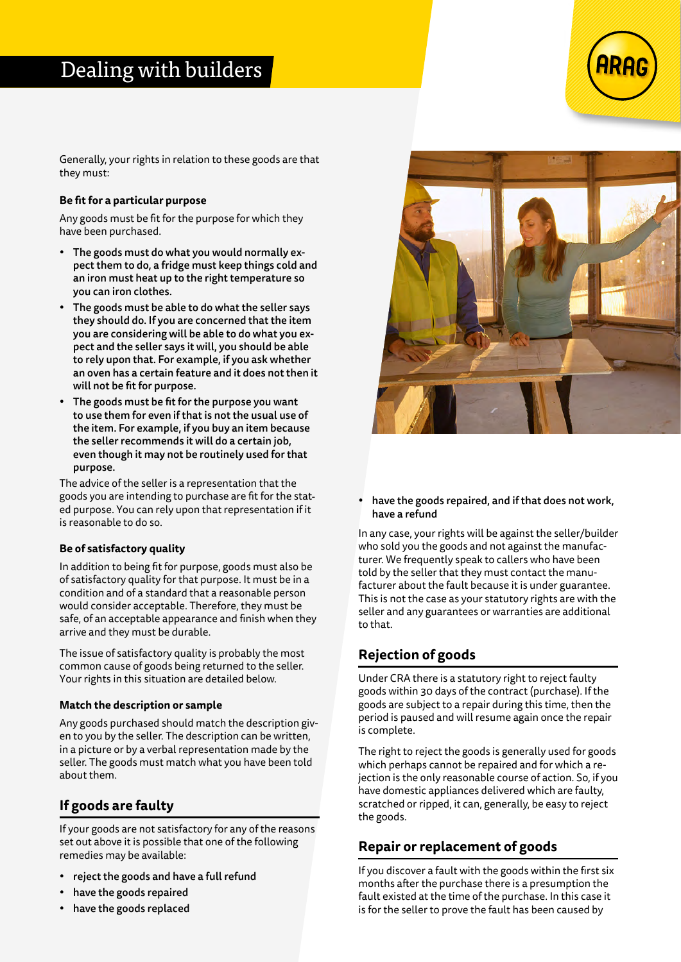Generally, your rights in relation to these goods are that they must:

#### **Be fit for a particular purpose**

Any goods must be fit for the purpose for which they have been purchased.

- The goods must do what you would normally expect them to do, a fridge must keep things cold and an iron must heat up to the right temperature so you can iron clothes.
- The goods must be able to do what the seller says they should do. If you are concerned that the item you are considering will be able to do what you expect and the seller says it will, you should be able to rely upon that. For example, if you ask whether an oven has a certain feature and it does not then it will not be fit for purpose.
- The goods must be fit for the purpose you want to use them for even if that is not the usual use of the item. For example, if you buy an item because the seller recommends it will do a certain job, even though it may not be routinely used for that purpose.

The advice of the seller is a representation that the goods you are intending to purchase are fit for the stated purpose. You can rely upon that representation if it is reasonable to do so.

#### **Be of satisfactory quality**

In addition to being fit for purpose, goods must also be of satisfactory quality for that purpose. It must be in a condition and of a standard that a reasonable person would consider acceptable. Therefore, they must be safe, of an acceptable appearance and finish when they arrive and they must be durable.

The issue of satisfactory quality is probably the most common cause of goods being returned to the seller. Your rights in this situation are detailed below.

#### **Match the description or sample**

Any goods purchased should match the description given to you by the seller. The description can be written, in a picture or by a verbal representation made by the seller. The goods must match what you have been told about them.

# **If goods are faulty**

If your goods are not satisfactory for any of the reasons set out above it is possible that one of the following remedies may be available:

- reject the goods and have a full refund
- have the goods repaired
- have the goods replaced



have the goods repaired, and if that does not work, have a refund

In any case, your rights will be against the seller/builder who sold you the goods and not against the manufacturer. We frequently speak to callers who have been told by the seller that they must contact the manufacturer about the fault because it is under guarantee. This is not the case as your statutory rights are with the seller and any guarantees or warranties are additional to that.

# **Rejection of goods**

Under CRA there is a statutory right to reject faulty goods within 30 days of the contract (purchase). If the goods are subject to a repair during this time, then the period is paused and will resume again once the repair is complete.

The right to reject the goods is generally used for goods which perhaps cannot be repaired and for which a rejection is the only reasonable course of action. So, if you have domestic appliances delivered which are faulty, scratched or ripped, it can, generally, be easy to reject the goods.

# **Repair or replacement of goods**

If you discover a fault with the goods within the first six months after the purchase there is a presumption the fault existed at the time of the purchase. In this case it is for the seller to prove the fault has been caused by